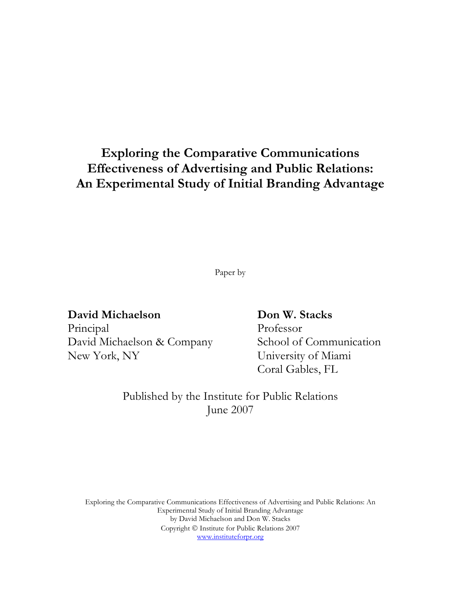# Exploring the Comparative Communications Effectiveness of Advertising and Public Relations: An Experimental Study of Initial Branding Advantage

Paper by

# David Michaelson Don W. Stacks

Principal Professor David Michaelson & Company School of Communication New York, NY University of Miami

Coral Gables, FL

Published by the Institute for Public Relations June 2007

Exploring the Comparative Communications Effectiveness of Advertising and Public Relations: An Experimental Study of Initial Branding Advantage by David Michaelson and Don W. Stacks Copyright  $\odot$  Institute for Public Relations 2007 www.instituteforpr.org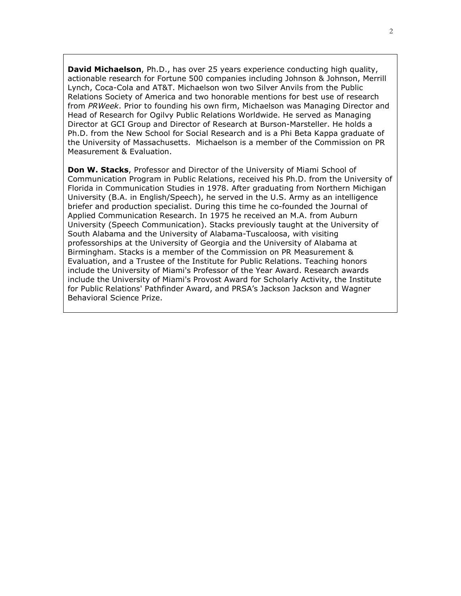**David Michaelson**, Ph.D., has over 25 years experience conducting high quality, actionable research for Fortune 500 companies including Johnson & Johnson, Merrill Lynch, Coca-Cola and AT&T. Michaelson won two Silver Anvils from the Public Relations Society of America and two honorable mentions for best use of research from PRWeek. Prior to founding his own firm, Michaelson was Managing Director and Head of Research for Ogilvy Public Relations Worldwide. He served as Managing Director at GCI Group and Director of Research at Burson-Marsteller. He holds a Ph.D. from the New School for Social Research and is a Phi Beta Kappa graduate of the University of Massachusetts. Michaelson is a member of the Commission on PR Measurement & Evaluation.

Don W. Stacks, Professor and Director of the University of Miami School of Communication Program in Public Relations, received his Ph.D. from the University of Florida in Communication Studies in 1978. After graduating from Northern Michigan University (B.A. in English/Speech), he served in the U.S. Army as an intelligence briefer and production specialist. During this time he co-founded the Journal of Applied Communication Research. In 1975 he received an M.A. from Auburn University (Speech Communication). Stacks previously taught at the University of South Alabama and the University of Alabama-Tuscaloosa, with visiting professorships at the University of Georgia and the University of Alabama at Birmingham. Stacks is a member of the Commission on PR Measurement & Evaluation, and a Trustee of the Institute for Public Relations. Teaching honors include the University of Miami's Professor of the Year Award. Research awards include the University of Miami's Provost Award for Scholarly Activity, the Institute for Public Relations' Pathfinder Award, and PRSA's Jackson Jackson and Wagner Behavioral Science Prize.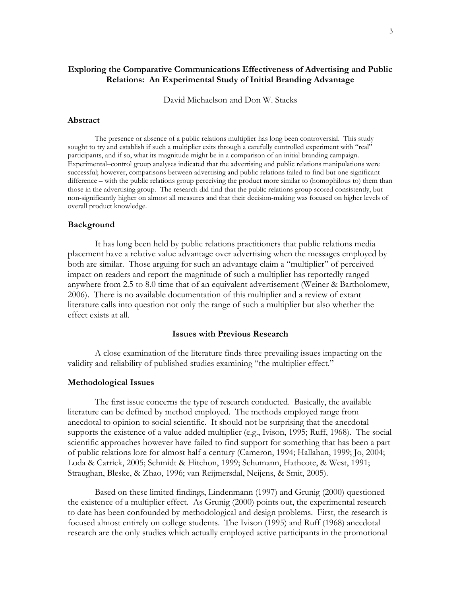# Exploring the Comparative Communications Effectiveness of Advertising and Public Relations: An Experimental Study of Initial Branding Advantage

David Michaelson and Don W. Stacks

#### Abstract

The presence or absence of a public relations multiplier has long been controversial. This study sought to try and establish if such a multiplier exits through a carefully controlled experiment with "real" participants, and if so, what its magnitude might be in a comparison of an initial branding campaign. Experimental–control group analyses indicated that the advertising and public relations manipulations were successful; however, comparisons between advertising and public relations failed to find but one significant difference – with the public relations group perceiving the product more similar to (homophilous to) them than those in the advertising group. The research did find that the public relations group scored consistently, but non-significantly higher on almost all measures and that their decision-making was focused on higher levels of overall product knowledge.

#### Background

It has long been held by public relations practitioners that public relations media placement have a relative value advantage over advertising when the messages employed by both are similar. Those arguing for such an advantage claim a "multiplier" of perceived impact on readers and report the magnitude of such a multiplier has reportedly ranged anywhere from 2.5 to 8.0 time that of an equivalent advertisement (Weiner & Bartholomew, 2006). There is no available documentation of this multiplier and a review of extant literature calls into question not only the range of such a multiplier but also whether the effect exists at all.

#### Issues with Previous Research

A close examination of the literature finds three prevailing issues impacting on the validity and reliability of published studies examining "the multiplier effect."

# Methodological Issues

The first issue concerns the type of research conducted. Basically, the available literature can be defined by method employed. The methods employed range from anecdotal to opinion to social scientific. It should not be surprising that the anecdotal supports the existence of a value-added multiplier (e.g., Ivison, 1995; Ruff, 1968). The social scientific approaches however have failed to find support for something that has been a part of public relations lore for almost half a century (Cameron, 1994; Hallahan, 1999; Jo, 2004; Loda & Carrick, 2005; Schmidt & Hitchon, 1999; Schumann, Hathcote, & West, 1991; Straughan, Bleske, & Zhao, 1996; van Reijmersdal, Neijens, & Smit, 2005).

Based on these limited findings, Lindenmann (1997) and Grunig (2000) questioned the existence of a multiplier effect. As Grunig (2000) points out, the experimental research to date has been confounded by methodological and design problems. First, the research is focused almost entirely on college students. The Ivison (1995) and Ruff (1968) anecdotal research are the only studies which actually employed active participants in the promotional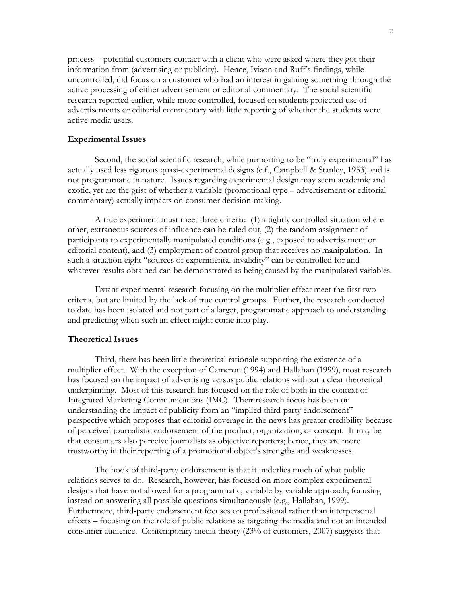process – potential customers contact with a client who were asked where they got their information from (advertising or publicity). Hence, Ivison and Ruff's findings, while uncontrolled, did focus on a customer who had an interest in gaining something through the active processing of either advertisement or editorial commentary. The social scientific research reported earlier, while more controlled, focused on students projected use of advertisements or editorial commentary with little reporting of whether the students were active media users.

### Experimental Issues

Second, the social scientific research, while purporting to be "truly experimental" has actually used less rigorous quasi-experimental designs (c.f., Campbell & Stanley, 1953) and is not programmatic in nature. Issues regarding experimental design may seem academic and exotic, yet are the grist of whether a variable (promotional type – advertisement or editorial commentary) actually impacts on consumer decision-making.

A true experiment must meet three criteria: (1) a tightly controlled situation where other, extraneous sources of influence can be ruled out, (2) the random assignment of participants to experimentally manipulated conditions (e.g., exposed to advertisement or editorial content), and (3) employment of control group that receives no manipulation. In such a situation eight "sources of experimental invalidity" can be controlled for and whatever results obtained can be demonstrated as being caused by the manipulated variables.

Extant experimental research focusing on the multiplier effect meet the first two criteria, but are limited by the lack of true control groups. Further, the research conducted to date has been isolated and not part of a larger, programmatic approach to understanding and predicting when such an effect might come into play.

# Theoretical Issues

Third, there has been little theoretical rationale supporting the existence of a multiplier effect. With the exception of Cameron (1994) and Hallahan (1999), most research has focused on the impact of advertising versus public relations without a clear theoretical underpinning. Most of this research has focused on the role of both in the context of Integrated Marketing Communications (IMC). Their research focus has been on understanding the impact of publicity from an "implied third-party endorsement" perspective which proposes that editorial coverage in the news has greater credibility because of perceived journalistic endorsement of the product, organization, or concept. It may be that consumers also perceive journalists as objective reporters; hence, they are more trustworthy in their reporting of a promotional object's strengths and weaknesses.

The hook of third-party endorsement is that it underlies much of what public relations serves to do. Research, however, has focused on more complex experimental designs that have not allowed for a programmatic, variable by variable approach; focusing instead on answering all possible questions simultaneously (e.g., Hallahan, 1999). Furthermore, third-party endorsement focuses on professional rather than interpersonal effects – focusing on the role of public relations as targeting the media and not an intended consumer audience. Contemporary media theory (23% of customers, 2007) suggests that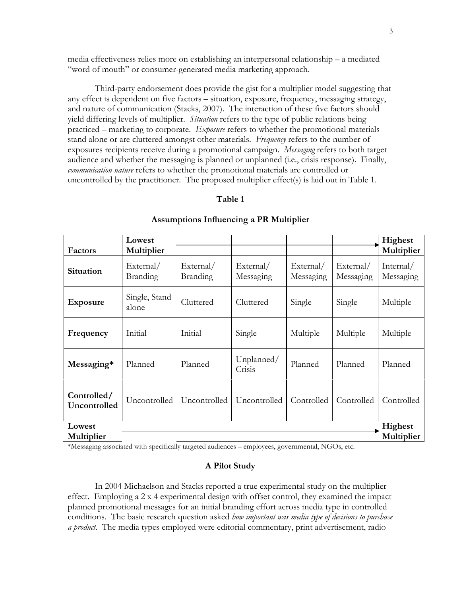media effectiveness relies more on establishing an interpersonal relationship – a mediated "word of mouth" or consumer-generated media marketing approach.

Third-party endorsement does provide the gist for a multiplier model suggesting that any effect is dependent on five factors – situation, exposure, frequency, messaging strategy, and nature of communication (Stacks, 2007). The interaction of these five factors should yield differing levels of multiplier. *Situation* refers to the type of public relations being practiced – marketing to corporate. Exposure refers to whether the promotional materials stand alone or are cluttered amongst other materials. Frequency refers to the number of exposures recipients receive during a promotional campaign. Messaging refers to both target audience and whether the messaging is planned or unplanned (i.e., crisis response). Finally, communication nature refers to whether the promotional materials are controlled or uncontrolled by the practitioner. The proposed multiplier effect(s) is laid out in Table 1.

# Table 1

|                             | Lowest                       |                              |                        |                        |                        | Highest                |
|-----------------------------|------------------------------|------------------------------|------------------------|------------------------|------------------------|------------------------|
| Factors                     | Multiplier                   |                              |                        |                        |                        | Multiplier             |
| Situation                   | External/<br><b>Branding</b> | External/<br><b>Branding</b> | External/<br>Messaging | External/<br>Messaging | External/<br>Messaging | Internal/<br>Messaging |
| <b>Exposure</b>             | Single, Stand<br>alone       | Cluttered                    | Cluttered              | Single                 | Single                 | Multiple               |
| Frequency                   | Initial                      | Initial                      | Single                 | Multiple               | Multiple               | Multiple               |
| Messaging*                  | Planned                      | Planned                      | Unplanned/<br>Crisis   | Planned                | Planned                | Planned                |
| Controlled/<br>Uncontrolled | Uncontrolled                 | Uncontrolled                 | Uncontrolled           | Controlled             | Controlled             | Controlled             |
| Lowest                      |                              |                              |                        |                        |                        | Highest                |
| Multiplier                  |                              |                              |                        |                        |                        | Multiplier             |

#### Assumptions Influencing a PR Multiplier

\*Messaging associated with specifically targeted audiences – employees, governmental, NGOs, etc.

#### A Pilot Study

In 2004 Michaelson and Stacks reported a true experimental study on the multiplier effect. Employing a 2 x 4 experimental design with offset control, they examined the impact planned promotional messages for an initial branding effort across media type in controlled conditions. The basic research question asked how important was media type of decisions to purchase a *product*. The media types employed were editorial commentary, print advertisement, radio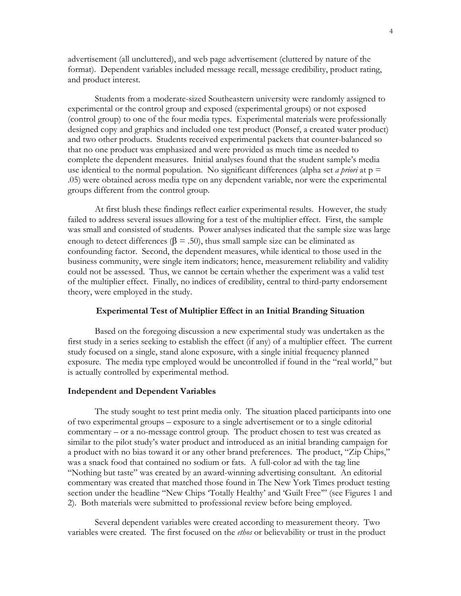advertisement (all uncluttered), and web page advertisement (cluttered by nature of the format). Dependent variables included message recall, message credibility, product rating, and product interest.

Students from a moderate-sized Southeastern university were randomly assigned to experimental or the control group and exposed (experimental groups) or not exposed (control group) to one of the four media types. Experimental materials were professionally designed copy and graphics and included one test product (Ponsef, a created water product) and two other products. Students received experimental packets that counter-balanced so that no one product was emphasized and were provided as much time as needed to complete the dependent measures. Initial analyses found that the student sample's media use identical to the normal population. No significant differences (alpha set *a priori* at  $p =$ .05) were obtained across media type on any dependent variable, nor were the experimental groups different from the control group.

At first blush these findings reflect earlier experimental results. However, the study failed to address several issues allowing for a test of the multiplier effect. First, the sample was small and consisted of students. Power analyses indicated that the sample size was large enough to detect differences ( $\beta$  = .50), thus small sample size can be eliminated as confounding factor. Second, the dependent measures, while identical to those used in the business community, were single item indicators; hence, measurement reliability and validity could not be assessed. Thus, we cannot be certain whether the experiment was a valid test of the multiplier effect. Finally, no indices of credibility, central to third-party endorsement theory, were employed in the study.

# Experimental Test of Multiplier Effect in an Initial Branding Situation

Based on the foregoing discussion a new experimental study was undertaken as the first study in a series seeking to establish the effect (if any) of a multiplier effect. The current study focused on a single, stand alone exposure, with a single initial frequency planned exposure. The media type employed would be uncontrolled if found in the "real world," but is actually controlled by experimental method.

#### Independent and Dependent Variables

The study sought to test print media only. The situation placed participants into one of two experimental groups – exposure to a single advertisement or to a single editorial commentary – or a no-message control group. The product chosen to test was created as similar to the pilot study's water product and introduced as an initial branding campaign for a product with no bias toward it or any other brand preferences. The product, "Zip Chips," was a snack food that contained no sodium or fats. A full-color ad with the tag line "Nothing but taste" was created by an award-winning advertising consultant. An editorial commentary was created that matched those found in The New York Times product testing section under the headline "New Chips 'Totally Healthy' and 'Guilt Free'" (see Figures 1 and 2). Both materials were submitted to professional review before being employed.

Several dependent variables were created according to measurement theory. Two variables were created. The first focused on the *ethos* or believability or trust in the product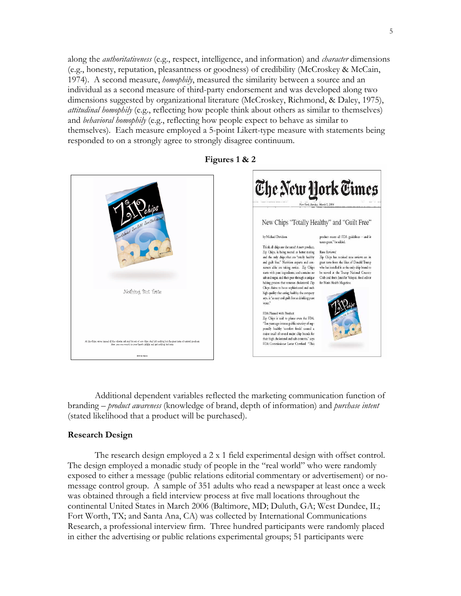along the *authoritativeness* (e.g., respect, intelligence, and information) and *character* dimensions (e.g., honesty, reputation, pleasantness or goodness) of credibility (McCroskey & McCain, 1974). A second measure, *homophily*, measured the similarity between a source and an individual as a second measure of third-party endorsement and was developed along two dimensions suggested by organizational literature (McCroskey, Richmond, & Daley, 1975), *attitudinal homophily* (e.g., reflecting how people think about others as similar to themselves) and *behavioral homophily* (e.g., reflecting how people expect to behave as similar to themselves). Each measure employed a 5-point Likert-type measure with statements being responded to on a strongly agree to strongly disagree continuum.



Figures 1 & 2

Additional dependent variables reflected the marketing communication function of branding – *product awareness* (knowledge of brand, depth of information) and *purchase intent* (stated likelihood that a product will be purchased).

# Research Design

The research design employed a 2 x 1 field experimental design with offset control. The design employed a monadic study of people in the "real world" who were randomly exposed to either a message (public relations editorial commentary or advertisement) or nomessage control group. A sample of 351 adults who read a newspaper at least once a week was obtained through a field interview process at five mall locations throughout the continental United States in March 2006 (Baltimore, MD; Duluth, GA; West Dundee, IL; Fort Worth, TX; and Santa Ana, CA) was collected by International Communications Research, a professional interview firm. Three hundred participants were randomly placed in either the advertising or public relations experimental groups; 51 participants were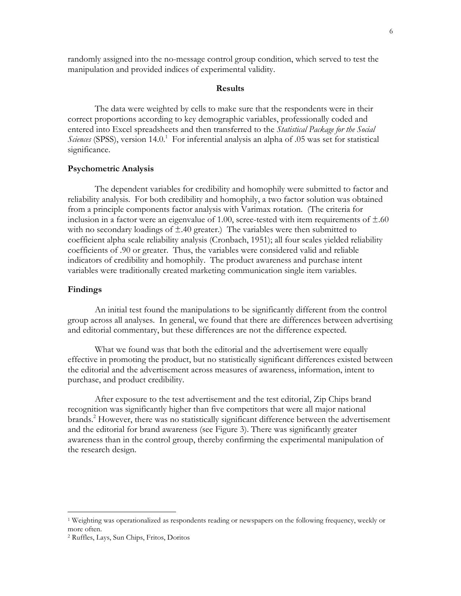randomly assigned into the no-message control group condition, which served to test the manipulation and provided indices of experimental validity.

# Results

The data were weighted by cells to make sure that the respondents were in their correct proportions according to key demographic variables, professionally coded and entered into Excel spreadsheets and then transferred to the *Statistical Package for the Social* Sciences (SPSS), version 14.0.<sup>1</sup> For inferential analysis an alpha of .05 was set for statistical significance.

#### Psychometric Analysis

The dependent variables for credibility and homophily were submitted to factor and reliability analysis. For both credibility and homophily, a two factor solution was obtained from a principle components factor analysis with Varimax rotation. (The criteria for inclusion in a factor were an eigenvalue of 1.00, scree-tested with item requirements of  $\pm .60$ with no secondary loadings of  $\pm$ .40 greater.) The variables were then submitted to coefficient alpha scale reliability analysis (Cronbach, 1951); all four scales yielded reliability coefficients of .90 or greater. Thus, the variables were considered valid and reliable indicators of credibility and homophily. The product awareness and purchase intent variables were traditionally created marketing communication single item variables.

# Findings

-

An initial test found the manipulations to be significantly different from the control group across all analyses. In general, we found that there are differences between advertising and editorial commentary, but these differences are not the difference expected.

What we found was that both the editorial and the advertisement were equally effective in promoting the product, but no statistically significant differences existed between the editorial and the advertisement across measures of awareness, information, intent to purchase, and product credibility.

After exposure to the test advertisement and the test editorial, Zip Chips brand recognition was significantly higher than five competitors that were all major national brands.<sup>2</sup> However, there was no statistically significant difference between the advertisement and the editorial for brand awareness (see Figure 3). There was significantly greater awareness than in the control group, thereby confirming the experimental manipulation of the research design.

<sup>1</sup> Weighting was operationalized as respondents reading or newspapers on the following frequency, weekly or more often.

<sup>2</sup> Ruffles, Lays, Sun Chips, Fritos, Doritos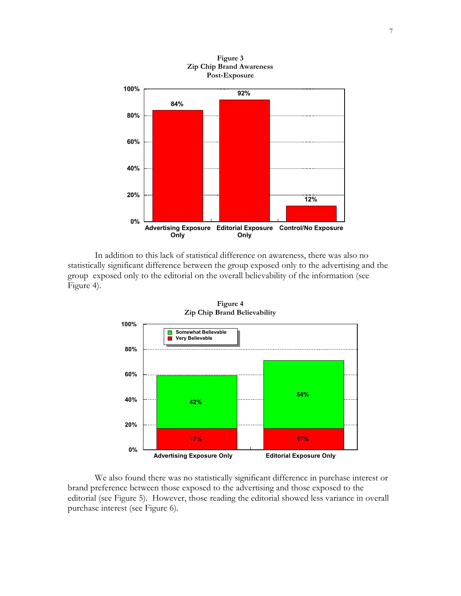

Figure 3

In addition to this lack of statistical difference on awareness, there was also no statistically significant difference between the group exposed only to the advertising and the group exposed only to the editorial on the overall believability of the information (see Figure 4).



Figure 4 Zip Chip Brand Believability

We also found there was no statistically significant difference in purchase interest or brand preference between those exposed to the advertising and those exposed to the editorial (see Figure 5). However, those reading the editorial showed less variance in overall purchase interest (see Figure 6).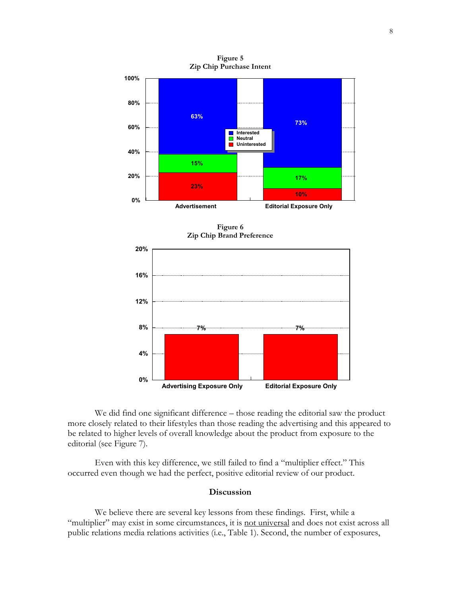

Figure 5 Zip Chip Purchase Intent

Figure 6 Zip Chip Brand Preference



We did find one significant difference – those reading the editorial saw the product more closely related to their lifestyles than those reading the advertising and this appeared to be related to higher levels of overall knowledge about the product from exposure to the editorial (see Figure 7).

Even with this key difference, we still failed to find a "multiplier effect." This occurred even though we had the perfect, positive editorial review of our product.

# **Discussion**

We believe there are several key lessons from these findings. First, while a "multiplier" may exist in some circumstances, it is not universal and does not exist across all public relations media relations activities (i.e., Table 1). Second, the number of exposures,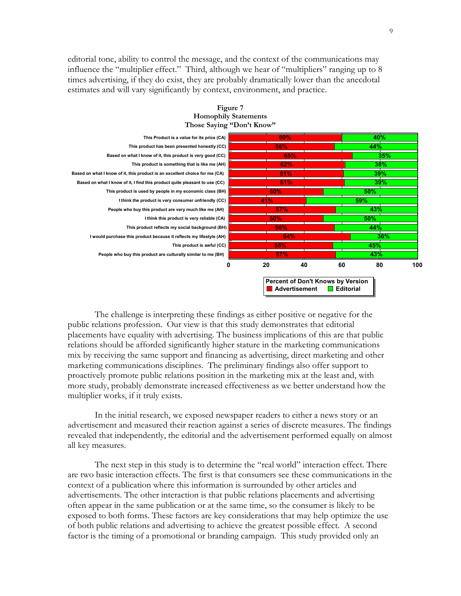editorial tone, ability to control the message, and the context of the communications may influence the "multiplier effect." Third, although we hear of "multipliers" ranging up to 8 times advertising, if they do exist, they are probably dramatically lower than the anecdotal estimates and will vary significantly by context, environment, and practice.



#### Figure 7 Homophily Statements Those Saying "Don't Know"

The challenge is interpreting these findings as either positive or negative for the public relations profession. Our view is that this study demonstrates that editorial placements have equality with advertising. The business implications of this are that public relations should be afforded significantly higher stature in the marketing communications mix by receiving the same support and financing as advertising, direct marketing and other marketing communications disciplines. The preliminary findings also offer support to proactively promote public relations position in the marketing mix at the least and, with more study, probably demonstrate increased effectiveness as we better understand how the multiplier works, if it truly exists.

In the initial research, we exposed newspaper readers to either a news story or an advertisement and measured their reaction against a series of discrete measures. The findings revealed that independently, the editorial and the advertisement performed equally on almost all key measures.

The next step in this study is to determine the "real world" interaction effect. There are two basic interaction effects. The first is that consumers see these communications in the context of a publication where this information is surrounded by other articles and advertisements. The other interaction is that public relations placements and advertising often appear in the same publication or at the same time, so the consumer is likely to be exposed to both forms. These factors are key considerations that may help optimize the use of both public relations and advertising to achieve the greatest possible effect. A second factor is the timing of a promotional or branding campaign. This study provided only an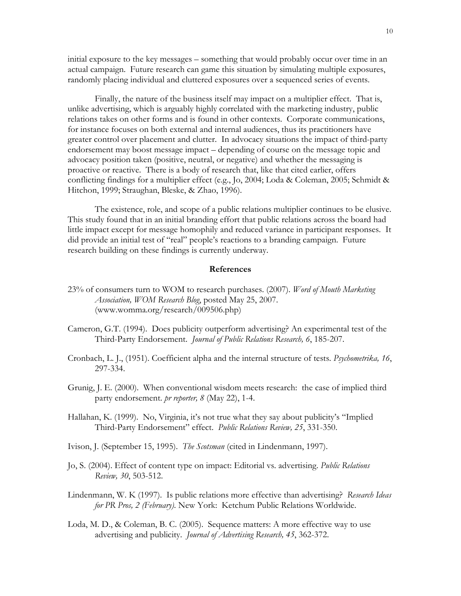initial exposure to the key messages – something that would probably occur over time in an actual campaign. Future research can game this situation by simulating multiple exposures, randomly placing individual and cluttered exposures over a sequenced series of events.

Finally, the nature of the business itself may impact on a multiplier effect. That is, unlike advertising, which is arguably highly correlated with the marketing industry, public relations takes on other forms and is found in other contexts. Corporate communications, for instance focuses on both external and internal audiences, thus its practitioners have greater control over placement and clutter. In advocacy situations the impact of third-party endorsement may boost message impact – depending of course on the message topic and advocacy position taken (positive, neutral, or negative) and whether the messaging is proactive or reactive. There is a body of research that, like that cited earlier, offers conflicting findings for a multiplier effect (e.g., Jo, 2004; Loda & Coleman, 2005; Schmidt & Hitchon, 1999; Straughan, Bleske, & Zhao, 1996).

The existence, role, and scope of a public relations multiplier continues to be elusive. This study found that in an initial branding effort that public relations across the board had little impact except for message homophily and reduced variance in participant responses. It did provide an initial test of "real" people's reactions to a branding campaign. Future research building on these findings is currently underway.

### References

- 23% of consumers turn to WOM to research purchases. (2007). Word of Mouth Marketing Association, WOM Research Blog, posted May 25, 2007. (www.womma.org/research/009506.php)
- Cameron, G.T. (1994). Does publicity outperform advertising? An experimental test of the Third-Party Endorsement. Journal of Public Relations Research, 6, 185-207.
- Cronbach, L. J., (1951). Coefficient alpha and the internal structure of tests. Psychometrika, 16, 297-334.
- Grunig, J. E. (2000). When conventional wisdom meets research: the case of implied third party endorsement. pr reporter, 8 (May 22), 1-4.
- Hallahan, K. (1999). No, Virginia, it's not true what they say about publicity's "Implied Third-Party Endorsement" effect. Public Relations Review, 25, 331-350.
- Ivison, J. (September 15, 1995). The Scotsman (cited in Lindenmann, 1997).
- Jo, S. (2004). Effect of content type on impact: Editorial vs. advertising. Public Relations Review, 30, 503-512.
- Lindenmann, W. K (1997). Is public relations more effective than advertising? Research Ideas for PR Pros, 2 (February). New York: Ketchum Public Relations Worldwide.
- Loda, M. D., & Coleman, B. C. (2005). Sequence matters: A more effective way to use advertising and publicity. Journal of Advertising Research, 45, 362-372.